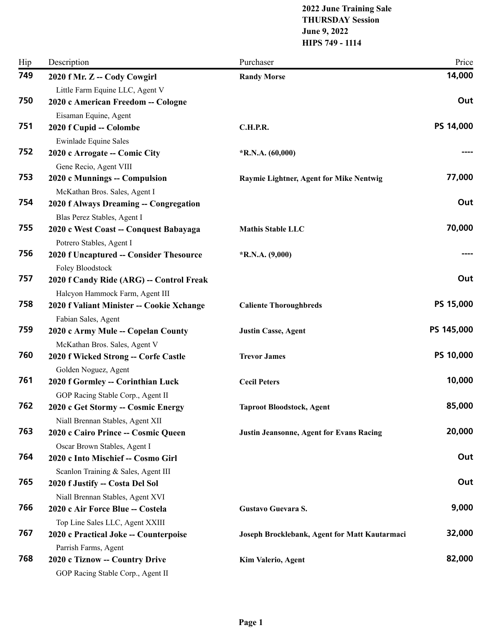# **2022 June Training Sale THURSDAY Session June 9, 2022 HIPS 749 - 1114**

| Hip | Description                                                         | Purchaser                                       | Price      |
|-----|---------------------------------------------------------------------|-------------------------------------------------|------------|
| 749 | 2020 f Mr. Z -- Cody Cowgirl                                        | <b>Randy Morse</b>                              | 14,000     |
|     | Little Farm Equine LLC, Agent V                                     |                                                 |            |
| 750 | 2020 c American Freedom -- Cologne                                  |                                                 | Out        |
|     | Eisaman Equine, Agent                                               |                                                 |            |
| 751 | 2020 f Cupid -- Colombe                                             | <b>C.H.P.R.</b>                                 | PS 14,000  |
|     | <b>Ewinlade Equine Sales</b>                                        |                                                 |            |
| 752 | 2020 c Arrogate -- Comic City                                       | $*R.N.A. (60,000)$                              |            |
|     | Gene Recio, Agent VIII                                              |                                                 |            |
| 753 | 2020 c Munnings -- Compulsion                                       | Raymie Lightner, Agent for Mike Nentwig         | 77,000     |
|     | McKathan Bros. Sales, Agent I                                       |                                                 |            |
| 754 | 2020 f Always Dreaming -- Congregation                              |                                                 | Out        |
| 755 | Blas Perez Stables, Agent I                                         |                                                 | 70,000     |
|     | 2020 c West Coast -- Conquest Babayaga                              | <b>Mathis Stable LLC</b>                        |            |
| 756 | Potrero Stables, Agent I<br>2020 f Uncaptured -- Consider Thesource | $*R.N.A. (9,000)$                               |            |
|     | Foley Bloodstock                                                    |                                                 |            |
| 757 | 2020 f Candy Ride (ARG) -- Control Freak                            |                                                 | Out        |
|     | Halcyon Hammock Farm, Agent III                                     |                                                 |            |
| 758 | 2020 f Valiant Minister -- Cookie Xchange                           | <b>Caliente Thoroughbreds</b>                   | PS 15,000  |
|     | Fabian Sales, Agent                                                 |                                                 |            |
| 759 | 2020 c Army Mule -- Copelan County                                  | <b>Justin Casse, Agent</b>                      | PS 145,000 |
|     | McKathan Bros. Sales, Agent V                                       |                                                 |            |
| 760 | 2020 f Wicked Strong -- Corfe Castle                                | <b>Trevor James</b>                             | PS 10,000  |
|     | Golden Noguez, Agent                                                |                                                 |            |
| 761 | 2020 f Gormley -- Corinthian Luck                                   | <b>Cecil Peters</b>                             | 10,000     |
|     | GOP Racing Stable Corp., Agent II                                   |                                                 |            |
| 762 | 2020 c Get Stormy -- Cosmic Energy                                  | <b>Taproot Bloodstock, Agent</b>                | 85,000     |
|     | Niall Brennan Stables, Agent XII                                    |                                                 |            |
| 763 | 2020 c Cairo Prince -- Cosmic Queen                                 | <b>Justin Jeansonne, Agent for Evans Racing</b> | 20,000     |
|     | Oscar Brown Stables, Agent I                                        |                                                 |            |
| 764 | 2020 c Into Mischief -- Cosmo Girl                                  |                                                 | Out        |
|     | Scanlon Training & Sales, Agent III                                 |                                                 |            |
| 765 | 2020 f Justify -- Costa Del Sol                                     |                                                 | Out        |
|     | Niall Brennan Stables, Agent XVI                                    |                                                 |            |
| 766 | 2020 c Air Force Blue -- Costela                                    | Gustavo Guevara S.                              | 9,000      |
|     | Top Line Sales LLC, Agent XXIII                                     |                                                 |            |
| 767 | 2020 c Practical Joke -- Counterpoise                               | Joseph Brocklebank, Agent for Matt Kautarmaci   | 32,000     |
| 768 | Parrish Farms, Agent                                                |                                                 |            |
|     | 2020 c Tiznow -- Country Drive                                      | Kim Valerio, Agent                              | 82,000     |
|     | GOP Racing Stable Corp., Agent II                                   |                                                 |            |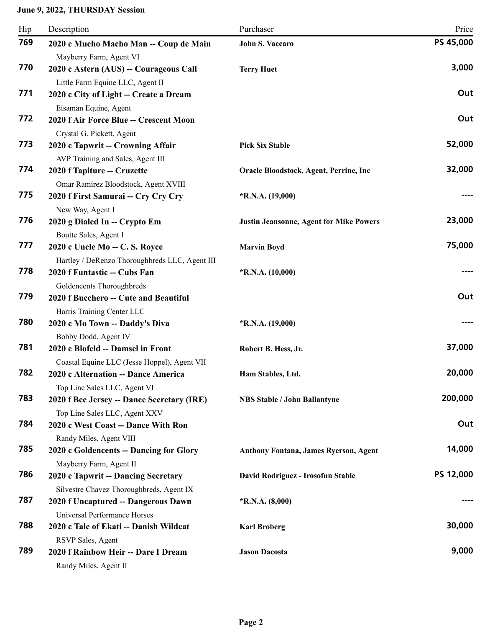| Hip | Description                                                        | Purchaser                                      | Price     |
|-----|--------------------------------------------------------------------|------------------------------------------------|-----------|
| 769 | 2020 c Mucho Macho Man -- Coup de Main                             | <b>John S. Vaccaro</b>                         | PS 45,000 |
|     | Mayberry Farm, Agent VI                                            |                                                |           |
| 770 | 2020 c Astern (AUS) -- Courageous Call                             | <b>Terry Huet</b>                              | 3,000     |
|     | Little Farm Equine LLC, Agent II                                   |                                                |           |
| 771 | 2020 c City of Light -- Create a Dream                             |                                                | Out       |
|     | Eisaman Equine, Agent                                              |                                                |           |
| 772 | 2020 f Air Force Blue -- Crescent Moon                             |                                                | Out       |
|     | Crystal G. Pickett, Agent                                          |                                                |           |
| 773 | 2020 c Tapwrit -- Crowning Affair                                  | <b>Pick Six Stable</b>                         | 52,000    |
|     | AVP Training and Sales, Agent III                                  |                                                |           |
| 774 | 2020 f Tapiture -- Cruzette                                        | Oracle Bloodstock, Agent, Perrine, Inc         | 32,000    |
|     | Omar Ramirez Bloodstock, Agent XVIII                               |                                                |           |
| 775 | 2020 f First Samurai -- Cry Cry Cry                                | $*R.N.A. (19,000)$                             |           |
|     | New Way, Agent I                                                   |                                                |           |
| 776 | 2020 g Dialed In -- Crypto Em                                      | <b>Justin Jeansonne, Agent for Mike Powers</b> | 23,000    |
| 777 | Boutte Sales, Agent I                                              |                                                | 75,000    |
|     | 2020 c Uncle Mo -- C. S. Royce                                     | <b>Marvin Boyd</b>                             |           |
| 778 | Hartley / DeRenzo Thoroughbreds LLC, Agent III                     |                                                |           |
|     | 2020 f Funtastic -- Cubs Fan                                       | $*R.N.A. (10,000)$                             |           |
| 779 | Goldencents Thoroughbreds<br>2020 f Bucchero -- Cute and Beautiful |                                                | Out       |
|     | Harris Training Center LLC                                         |                                                |           |
| 780 | 2020 c Mo Town -- Daddy's Diva                                     | $*$ R.N.A. (19,000)                            |           |
|     | Bobby Dodd, Agent IV                                               |                                                |           |
| 781 | 2020 c Blofeld -- Damsel in Front                                  | Robert B. Hess, Jr.                            | 37,000    |
|     | Coastal Equine LLC (Jesse Hoppel), Agent VII                       |                                                |           |
| 782 | 2020 c Alternation -- Dance America                                | Ham Stables, Ltd.                              | 20,000    |
|     | Top Line Sales LLC, Agent VI                                       |                                                |           |
| 783 | 2020 f Bee Jersey -- Dance Secretary (IRE)                         | <b>NBS Stable / John Ballantyne</b>            | 200,000   |
|     | Top Line Sales LLC, Agent XXV                                      |                                                |           |
| 784 | 2020 c West Coast -- Dance With Ron                                |                                                | Out       |
|     | Randy Miles, Agent VIII                                            |                                                |           |
| 785 | 2020 c Goldencents -- Dancing for Glory                            | <b>Anthony Fontana, James Ryerson, Agent</b>   | 14,000    |
|     | Mayberry Farm, Agent II                                            |                                                |           |
| 786 | 2020 c Tapwrit -- Dancing Secretary                                | David Rodriguez - Irosofun Stable              | PS 12,000 |
|     | Silvestre Chavez Thoroughbreds, Agent IX                           |                                                |           |
| 787 | 2020 f Uncaptured -- Dangerous Dawn                                | *R.N.A. $(8,000)$                              |           |
|     | Universal Performance Horses                                       |                                                |           |
| 788 | 2020 c Tale of Ekati -- Danish Wildcat                             | <b>Karl Broberg</b>                            | 30,000    |
|     | RSVP Sales, Agent                                                  |                                                |           |
| 789 | 2020 f Rainbow Heir -- Dare I Dream                                | <b>Jason Dacosta</b>                           | 9,000     |
|     | Randy Miles, Agent II                                              |                                                |           |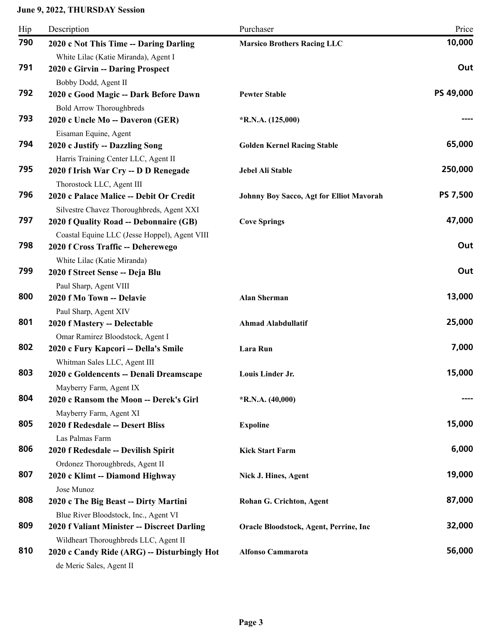| Hip | Description                                                                                                      | Purchaser                                | Price     |
|-----|------------------------------------------------------------------------------------------------------------------|------------------------------------------|-----------|
| 790 | 2020 c Not This Time -- Daring Darling<br>White Lilac (Katie Miranda), Agent I                                   | <b>Marsico Brothers Racing LLC</b>       | 10,000    |
| 791 | 2020 c Girvin -- Daring Prospect<br>Bobby Dodd, Agent II                                                         |                                          | Out       |
| 792 | 2020 c Good Magic -- Dark Before Dawn<br><b>Bold Arrow Thoroughbreds</b>                                         | <b>Pewter Stable</b>                     | PS 49,000 |
| 793 | 2020 c Uncle Mo -- Daveron (GER)<br>Eisaman Equine, Agent                                                        | $*R.N.A. (125,000)$                      |           |
| 794 | 2020 c Justify -- Dazzling Song<br>Harris Training Center LLC, Agent II                                          | <b>Golden Kernel Racing Stable</b>       | 65,000    |
| 795 | 2020 f Irish War Cry -- D D Renegade<br>Thorostock LLC, Agent III                                                | Jebel Ali Stable                         | 250,000   |
| 796 | 2020 c Palace Malice -- Debit Or Credit<br>Silvestre Chavez Thoroughbreds, Agent XXI                             | Johnny Boy Sacco, Agt for Elliot Mavorah | PS 7,500  |
| 797 | 2020 f Quality Road -- Debonnaire (GB)<br>Coastal Equine LLC (Jesse Hoppel), Agent VIII                          | <b>Cove Springs</b>                      | 47,000    |
| 798 | 2020 f Cross Traffic -- Deherewego<br>White Lilac (Katie Miranda)                                                |                                          | Out       |
| 799 | 2020 f Street Sense -- Deja Blu<br>Paul Sharp, Agent VIII                                                        |                                          | Out       |
| 800 | 2020 f Mo Town -- Delavie                                                                                        | <b>Alan Sherman</b>                      | 13,000    |
| 801 | Paul Sharp, Agent XIV<br>2020 f Mastery -- Delectable                                                            | <b>Ahmad Alabdullatif</b>                | 25,000    |
| 802 | Omar Ramirez Bloodstock, Agent I<br>2020 c Fury Kapcori -- Della's Smile                                         | Lara Run                                 | 7,000     |
| 803 | Whitman Sales LLC, Agent III<br>2020 c Goldencents -- Denali Dreamscape                                          | Louis Linder Jr.                         | 15,000    |
| 804 | Mayberry Farm, Agent IX<br>2020 c Ransom the Moon -- Derek's Girl<br>Mayberry Farm, Agent XI                     | $*R.N.A. (40,000)$                       |           |
| 805 | 2020 f Redesdale -- Desert Bliss<br>Las Palmas Farm                                                              | <b>Expoline</b>                          | 15,000    |
| 806 | 2020 f Redesdale -- Devilish Spirit                                                                              | <b>Kick Start Farm</b>                   | 6,000     |
| 807 | Ordonez Thoroughbreds, Agent II<br>2020 c Klimt -- Diamond Highway                                               | Nick J. Hines, Agent                     | 19,000    |
| 808 | Jose Munoz<br>2020 c The Big Beast -- Dirty Martini                                                              | Rohan G. Crichton, Agent                 | 87,000    |
| 809 | Blue River Bloodstock, Inc., Agent VI<br>2020 f Valiant Minister -- Discreet Darling                             | Oracle Bloodstock, Agent, Perrine, Inc   | 32,000    |
| 810 | Wildheart Thoroughbreds LLC, Agent II<br>2020 c Candy Ride (ARG) -- Disturbingly Hot<br>de Meric Sales, Agent II | <b>Alfonso Cammarota</b>                 | 56,000    |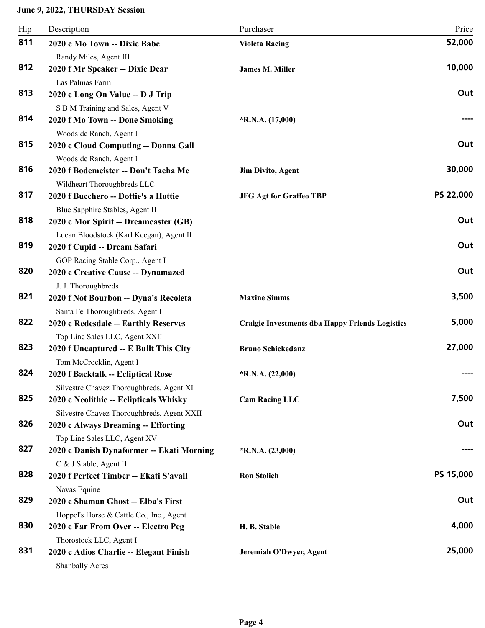| Hip | Description                                                                                                                      | Purchaser                                              | Price     |
|-----|----------------------------------------------------------------------------------------------------------------------------------|--------------------------------------------------------|-----------|
| 811 | 2020 c Mo Town -- Dixie Babe                                                                                                     | <b>Violeta Racing</b>                                  | 52,000    |
| 812 | Randy Miles, Agent III<br>2020 f Mr Speaker -- Dixie Dear                                                                        | <b>James M. Miller</b>                                 | 10,000    |
| 813 | Las Palmas Farm<br>2020 c Long On Value -- D J Trip<br>S B M Training and Sales, Agent V                                         |                                                        | Out       |
| 814 | 2020 f Mo Town -- Done Smoking<br>Woodside Ranch, Agent I                                                                        | $*R.N.A. (17,000)$                                     |           |
| 815 | 2020 c Cloud Computing -- Donna Gail<br>Woodside Ranch, Agent I                                                                  |                                                        | Out       |
| 816 | 2020 f Bodemeister -- Don't Tacha Me<br>Wildheart Thoroughbreds LLC                                                              | <b>Jim Divito, Agent</b>                               | 30,000    |
| 817 | 2020 f Bucchero -- Dottie's a Hottie                                                                                             | <b>JFG Agt for Graffeo TBP</b>                         | PS 22,000 |
| 818 | Blue Sapphire Stables, Agent II<br>2020 c Mor Spirit -- Dreamcaster (GB)                                                         |                                                        | Out       |
| 819 | Lucan Bloodstock (Karl Keegan), Agent II<br>2020 f Cupid -- Dream Safari                                                         |                                                        | Out       |
| 820 | GOP Racing Stable Corp., Agent I<br>2020 c Creative Cause -- Dynamazed<br>J. J. Thoroughbreds                                    |                                                        | Out       |
| 821 | 2020 f Not Bourbon -- Dyna's Recoleta                                                                                            | <b>Maxine Simms</b>                                    | 3,500     |
| 822 | Santa Fe Thoroughbreds, Agent I<br>2020 c Redesdale -- Earthly Reserves                                                          | <b>Craigie Investments dba Happy Friends Logistics</b> | 5,000     |
| 823 | Top Line Sales LLC, Agent XXII<br>2020 f Uncaptured -- E Built This City                                                         | <b>Bruno Schickedanz</b>                               | 27,000    |
| 824 | Tom McCrocklin, Agent I<br>2020 f Backtalk -- Ecliptical Rose                                                                    | $*R.N.A. (22,000)$                                     | ----      |
| 825 | Silvestre Chavez Thoroughbreds, Agent XI<br>2020 c Neolithic -- Eclipticals Whisky<br>Silvestre Chavez Thoroughbreds, Agent XXII | <b>Cam Racing LLC</b>                                  | 7,500     |
| 826 | 2020 c Always Dreaming -- Efforting<br>Top Line Sales LLC, Agent XV                                                              |                                                        | Out       |
| 827 | 2020 c Danish Dynaformer -- Ekati Morning                                                                                        | $*R.N.A. (23,000)$                                     |           |
| 828 | C & J Stable, Agent II<br>2020 f Perfect Timber -- Ekati S'avall                                                                 | <b>Ron Stolich</b>                                     | PS 15,000 |
| 829 | Navas Equine<br>2020 c Shaman Ghost -- Elba's First                                                                              |                                                        | Out       |
| 830 | Hoppel's Horse & Cattle Co., Inc., Agent<br>2020 c Far From Over -- Electro Peg                                                  | H. B. Stable                                           | 4,000     |
| 831 | Thorostock LLC, Agent I<br>2020 c Adios Charlie -- Elegant Finish<br><b>Shanbally Acres</b>                                      | Jeremiah O'Dwyer, Agent                                | 25,000    |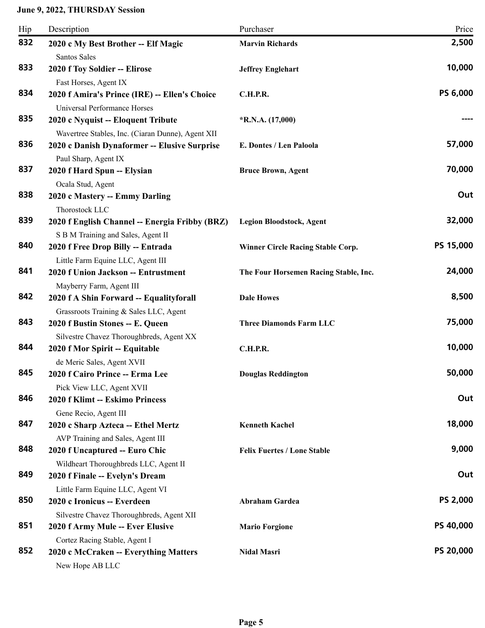| Hip | Description                                                              | Purchaser                                | Price            |
|-----|--------------------------------------------------------------------------|------------------------------------------|------------------|
| 832 | 2020 c My Best Brother -- Elf Magic                                      | <b>Marvin Richards</b>                   | 2,500            |
|     | Santos Sales                                                             |                                          |                  |
| 833 | 2020 f Toy Soldier -- Elirose                                            | <b>Jeffrey Englehart</b>                 | 10,000           |
|     | Fast Horses, Agent IX                                                    |                                          |                  |
| 834 | 2020 f Amira's Prince (IRE) -- Ellen's Choice                            | C.H.P.R.                                 | PS 6,000         |
|     | Universal Performance Horses                                             |                                          |                  |
| 835 | 2020 c Nyquist -- Eloquent Tribute                                       | $*$ R.N.A. $(17,000)$                    |                  |
|     | Wavertree Stables, Inc. (Ciaran Dunne), Agent XII                        |                                          |                  |
| 836 | 2020 c Danish Dynaformer -- Elusive Surprise                             | E. Dontes / Len Paloola                  | 57,000           |
|     | Paul Sharp, Agent IX                                                     |                                          |                  |
| 837 | 2020 f Hard Spun -- Elysian                                              | <b>Bruce Brown, Agent</b>                | 70,000           |
| 838 | Ocala Stud, Agent                                                        |                                          | Out              |
|     | 2020 c Mastery -- Emmy Darling                                           |                                          |                  |
| 839 | Thorostock LLC                                                           |                                          | 32,000           |
|     | 2020 f English Channel -- Energia Fribby (BRZ)                           | <b>Legion Bloodstock, Agent</b>          |                  |
| 840 | S B M Training and Sales, Agent II<br>2020 f Free Drop Billy -- Entrada  | <b>Winner Circle Racing Stable Corp.</b> | PS 15,000        |
|     |                                                                          |                                          |                  |
| 841 | Little Farm Equine LLC, Agent III<br>2020 f Union Jackson -- Entrustment | The Four Horsemen Racing Stable, Inc.    | 24,000           |
|     | Mayberry Farm, Agent III                                                 |                                          |                  |
| 842 | 2020 f A Shin Forward -- Equalityforall                                  | <b>Dale Howes</b>                        | 8,500            |
|     | Grassroots Training & Sales LLC, Agent                                   |                                          |                  |
| 843 | 2020 f Bustin Stones -- E. Queen                                         | <b>Three Diamonds Farm LLC</b>           | 75,000           |
|     | Silvestre Chavez Thoroughbreds, Agent XX                                 |                                          |                  |
| 844 | 2020 f Mor Spirit -- Equitable                                           | <b>C.H.P.R.</b>                          | 10,000           |
|     | de Meric Sales, Agent XVII                                               |                                          |                  |
| 845 | 2020 f Cairo Prince -- Erma Lee                                          | <b>Douglas Reddington</b>                | 50,000           |
|     | Pick View LLC, Agent XVII                                                |                                          |                  |
| 846 | 2020 f Klimt -- Eskimo Princess                                          |                                          | Out              |
|     | Gene Recio, Agent III                                                    |                                          |                  |
| 847 | 2020 c Sharp Azteca -- Ethel Mertz                                       | <b>Kenneth Kachel</b>                    | 18,000           |
|     | AVP Training and Sales, Agent III                                        |                                          |                  |
| 848 | 2020 f Uncaptured -- Euro Chic                                           | <b>Felix Fuertes / Lone Stable</b>       | 9,000            |
|     | Wildheart Thoroughbreds LLC, Agent II                                    |                                          |                  |
| 849 | 2020 f Finale -- Evelyn's Dream                                          |                                          | Out              |
|     | Little Farm Equine LLC, Agent VI                                         |                                          |                  |
| 850 | 2020 c Ironicus -- Everdeen                                              | Abraham Gardea                           | <b>PS 2,000</b>  |
|     | Silvestre Chavez Thoroughbreds, Agent XII                                |                                          |                  |
| 851 | 2020 f Army Mule -- Ever Elusive                                         | <b>Mario Forgione</b>                    | <b>PS 40,000</b> |
|     | Cortez Racing Stable, Agent I                                            |                                          |                  |
| 852 | 2020 c McCraken -- Everything Matters<br>New Hope AB LLC                 | <b>Nidal Masri</b>                       | <b>PS 20,000</b> |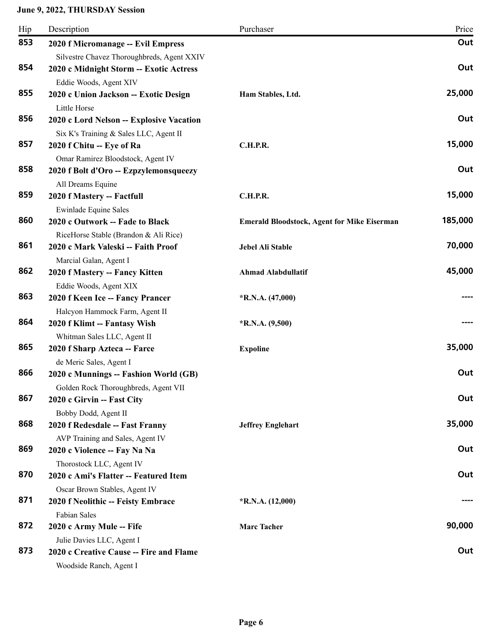| Hip | Description                                                                           | Purchaser                                          | Price   |
|-----|---------------------------------------------------------------------------------------|----------------------------------------------------|---------|
| 853 | 2020 f Micromanage -- Evil Empress                                                    |                                                    | Out     |
| 854 | Silvestre Chavez Thoroughbreds, Agent XXIV<br>2020 c Midnight Storm -- Exotic Actress |                                                    | Out     |
|     | Eddie Woods, Agent XIV                                                                |                                                    |         |
| 855 | 2020 c Union Jackson -- Exotic Design                                                 | Ham Stables, Ltd.                                  | 25,000  |
|     | Little Horse                                                                          |                                                    |         |
| 856 | 2020 c Lord Nelson -- Explosive Vacation                                              |                                                    | Out     |
| 857 | Six K's Training & Sales LLC, Agent II                                                | <b>C.H.P.R.</b>                                    | 15,000  |
|     | 2020 f Chitu -- Eye of Ra                                                             |                                                    |         |
| 858 | Omar Ramirez Bloodstock, Agent IV<br>2020 f Bolt d'Oro -- Ezpzylemonsqueezy           |                                                    | Out     |
|     | All Dreams Equine                                                                     |                                                    |         |
| 859 | 2020 f Mastery -- Factfull                                                            | C.H.P.R.                                           | 15,000  |
|     | <b>Ewinlade Equine Sales</b>                                                          |                                                    |         |
| 860 | 2020 c Outwork -- Fade to Black<br>RiceHorse Stable (Brandon & Ali Rice)              | <b>Emerald Bloodstock, Agent for Mike Eiserman</b> | 185,000 |
| 861 | 2020 c Mark Valeski -- Faith Proof                                                    | Jebel Ali Stable                                   | 70,000  |
|     | Marcial Galan, Agent I                                                                |                                                    |         |
| 862 | 2020 f Mastery -- Fancy Kitten                                                        | <b>Ahmad Alabdullatif</b>                          | 45,000  |
|     | Eddie Woods, Agent XIX                                                                |                                                    |         |
| 863 | 2020 f Keen Ice -- Fancy Prancer                                                      | $*R.N.A. (47,000)$                                 |         |
|     | Halcyon Hammock Farm, Agent II                                                        |                                                    |         |
| 864 | 2020 f Klimt -- Fantasy Wish                                                          | $*$ R.N.A. $(9,500)$                               |         |
|     | Whitman Sales LLC, Agent II                                                           |                                                    |         |
| 865 | 2020 f Sharp Azteca -- Farce                                                          | <b>Expoline</b>                                    | 35,000  |
|     | de Meric Sales, Agent I                                                               |                                                    |         |
| 866 | 2020 c Munnings -- Fashion World (GB)                                                 |                                                    | Out     |
|     | Golden Rock Thoroughbreds, Agent VII                                                  |                                                    |         |
| 867 | 2020 c Girvin -- Fast City                                                            |                                                    | Out     |
|     | Bobby Dodd, Agent II                                                                  |                                                    |         |
| 868 | 2020 f Redesdale -- Fast Franny                                                       | <b>Jeffrey Englehart</b>                           | 35,000  |
|     | AVP Training and Sales, Agent IV                                                      |                                                    |         |
| 869 | 2020 c Violence -- Fay Na Na                                                          |                                                    | Out     |
| 870 | Thorostock LLC, Agent IV                                                              |                                                    | Out     |
|     | 2020 c Ami's Flatter -- Featured Item                                                 |                                                    |         |
| 871 | Oscar Brown Stables, Agent IV                                                         |                                                    |         |
|     | 2020 f Neolithic -- Feisty Embrace                                                    | $*R.N.A. (12,000)$                                 |         |
| 872 | Fabian Sales                                                                          | <b>Marc Tacher</b>                                 | 90,000  |
|     | 2020 c Army Mule -- Fife                                                              |                                                    |         |
| 873 | Julie Davies LLC, Agent I<br>2020 c Creative Cause -- Fire and Flame                  |                                                    | Out     |
|     | Woodside Ranch, Agent I                                                               |                                                    |         |
|     |                                                                                       |                                                    |         |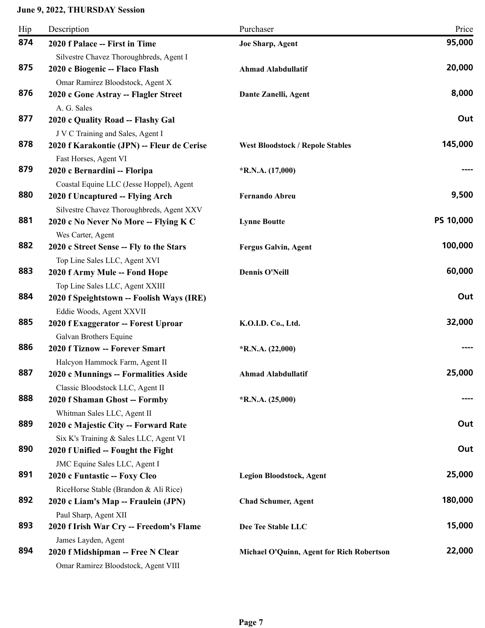| Hip | Description                                                                  | Purchaser                                 | Price     |
|-----|------------------------------------------------------------------------------|-------------------------------------------|-----------|
| 874 | 2020 f Palace -- First in Time                                               | Joe Sharp, Agent                          | 95,000    |
| 875 | Silvestre Chavez Thoroughbreds, Agent I<br>2020 c Biogenic -- Flaco Flash    | <b>Ahmad Alabdullatif</b>                 | 20,000    |
|     | Omar Ramirez Bloodstock, Agent X                                             |                                           |           |
| 876 | 2020 c Gone Astray -- Flagler Street                                         | Dante Zanelli, Agent                      | 8,000     |
| 877 | A. G. Sales<br>2020 c Quality Road -- Flashy Gal                             |                                           | Out       |
|     | J V C Training and Sales, Agent I                                            |                                           |           |
| 878 | 2020 f Karakontie (JPN) -- Fleur de Cerise<br>Fast Horses, Agent VI          | <b>West Bloodstock / Repole Stables</b>   | 145,000   |
| 879 | 2020 c Bernardini -- Floripa                                                 | $*R.N.A. (17,000)$                        |           |
|     | Coastal Equine LLC (Jesse Hoppel), Agent                                     |                                           |           |
| 880 | 2020 f Uncaptured -- Flying Arch                                             | <b>Fernando Abreu</b>                     | 9,500     |
|     | Silvestre Chavez Thoroughbreds, Agent XXV                                    |                                           |           |
| 881 | 2020 c No Never No More -- Flying K C                                        | <b>Lynne Boutte</b>                       | PS 10,000 |
| 882 | Wes Carter, Agent                                                            |                                           | 100,000   |
|     | 2020 c Street Sense -- Fly to the Stars                                      | <b>Fergus Galvin, Agent</b>               |           |
| 883 | Top Line Sales LLC, Agent XVI                                                |                                           | 60,000    |
|     | 2020 f Army Mule -- Fond Hope                                                | <b>Dennis O'Neill</b>                     |           |
| 884 | Top Line Sales LLC, Agent XXIII<br>2020 f Speightstown -- Foolish Ways (IRE) |                                           | Out       |
|     | Eddie Woods, Agent XXVII                                                     |                                           |           |
| 885 | 2020 f Exaggerator -- Forest Uproar                                          | K.O.I.D. Co., Ltd.                        | 32,000    |
|     | Galvan Brothers Equine                                                       |                                           |           |
| 886 | 2020 f Tiznow -- Forever Smart                                               | $*R.N.A. (22,000)$                        |           |
|     | Halcyon Hammock Farm, Agent II                                               |                                           |           |
| 887 | 2020 c Munnings -- Formalities Aside                                         | Ahmad Alabdullatif                        | 25,000    |
|     | Classic Bloodstock LLC, Agent II                                             |                                           |           |
| 888 | 2020 f Shaman Ghost -- Formby                                                | $*R.N.A. (25,000)$                        |           |
|     | Whitman Sales LLC, Agent II                                                  |                                           |           |
| 889 | 2020 c Majestic City -- Forward Rate                                         |                                           | Out       |
|     | Six K's Training & Sales LLC, Agent VI                                       |                                           |           |
| 890 | 2020 f Unified -- Fought the Fight                                           |                                           | Out       |
|     | JMC Equine Sales LLC, Agent I                                                |                                           |           |
| 891 | 2020 c Funtastic -- Foxy Cleo                                                | <b>Legion Bloodstock, Agent</b>           | 25,000    |
|     | RiceHorse Stable (Brandon & Ali Rice)                                        |                                           |           |
| 892 | 2020 c Liam's Map -- Fraulein (JPN)                                          | <b>Chad Schumer, Agent</b>                | 180,000   |
|     | Paul Sharp, Agent XII                                                        |                                           |           |
| 893 | 2020 f Irish War Cry -- Freedom's Flame                                      | Dee Tee Stable LLC                        | 15,000    |
|     | James Layden, Agent                                                          |                                           |           |
| 894 | 2020 f Midshipman -- Free N Clear                                            | Michael O'Quinn, Agent for Rich Robertson | 22,000    |
|     | Omar Ramirez Bloodstock, Agent VIII                                          |                                           |           |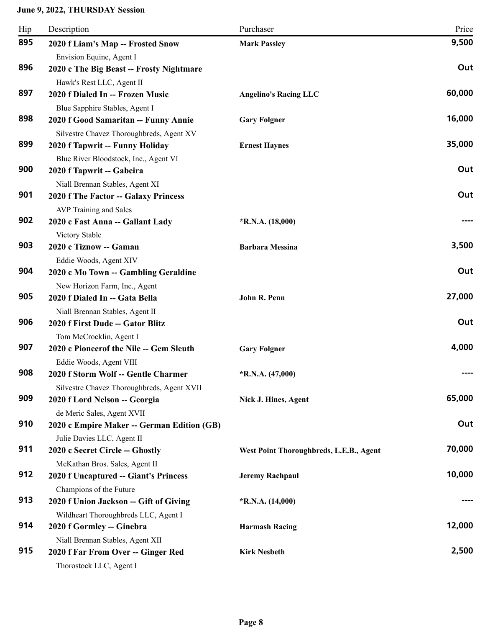| Hip | Description                                                   | Purchaser                               | Price  |
|-----|---------------------------------------------------------------|-----------------------------------------|--------|
| 895 | 2020 f Liam's Map -- Frosted Snow                             | <b>Mark Passley</b>                     | 9,500  |
|     | Envision Equine, Agent I                                      |                                         |        |
| 896 | 2020 c The Big Beast -- Frosty Nightmare                      |                                         | Out    |
|     | Hawk's Rest LLC, Agent II                                     |                                         |        |
| 897 | 2020 f Dialed In -- Frozen Music                              | <b>Angelino's Racing LLC</b>            | 60,000 |
|     | Blue Sapphire Stables, Agent I                                |                                         |        |
| 898 | 2020 f Good Samaritan -- Funny Annie                          | <b>Gary Folgner</b>                     | 16,000 |
|     | Silvestre Chavez Thoroughbreds, Agent XV                      |                                         |        |
| 899 | 2020 f Tapwrit -- Funny Holiday                               | <b>Ernest Haynes</b>                    | 35,000 |
|     | Blue River Bloodstock, Inc., Agent VI                         |                                         |        |
| 900 | 2020 f Tapwrit -- Gabeira                                     |                                         | Out    |
| 901 | Niall Brennan Stables, Agent XI                               |                                         | Out    |
|     | 2020 f The Factor -- Galaxy Princess                          |                                         |        |
|     | AVP Training and Sales                                        |                                         |        |
| 902 | 2020 c Fast Anna -- Gallant Lady                              | $*R.N.A. (18,000)$                      |        |
| 903 | Victory Stable                                                |                                         | 3,500  |
|     | 2020 c Tiznow -- Gaman                                        | <b>Barbara Messina</b>                  |        |
| 904 | Eddie Woods, Agent XIV                                        |                                         | Out    |
|     | 2020 c Mo Town -- Gambling Geraldine                          |                                         |        |
| 905 | New Horizon Farm, Inc., Agent                                 |                                         | 27,000 |
|     | 2020 f Dialed In -- Gata Bella                                | John R. Penn                            |        |
| 906 | Niall Brennan Stables, Agent II                               |                                         | Out    |
|     | 2020 f First Dude -- Gator Blitz                              |                                         |        |
| 907 | Tom McCrocklin, Agent I                                       |                                         | 4,000  |
|     | 2020 c Pioneerof the Nile -- Gem Sleuth                       | <b>Gary Folgner</b>                     |        |
| 908 | Eddie Woods, Agent VIII                                       |                                         |        |
|     | 2020 f Storm Wolf -- Gentle Charmer                           | $*$ R.N.A. (47,000)                     |        |
| 909 | Silvestre Chavez Thoroughbreds, Agent XVII                    |                                         | 65,000 |
|     | 2020 f Lord Nelson -- Georgia                                 | Nick J. Hines, Agent                    |        |
| 910 | de Meric Sales, Agent XVII                                    |                                         | Out    |
|     | 2020 c Empire Maker -- German Edition (GB)                    |                                         |        |
| 911 | Julie Davies LLC, Agent II<br>2020 c Secret Circle -- Ghostly |                                         | 70,000 |
|     |                                                               | West Point Thoroughbreds, L.E.B., Agent |        |
| 912 | McKathan Bros. Sales, Agent II                                |                                         | 10,000 |
|     | 2020 f Uncaptured -- Giant's Princess                         | <b>Jeremy Rachpaul</b>                  |        |
| 913 | Champions of the Future                                       |                                         |        |
|     | 2020 f Union Jackson -- Gift of Giving                        | $*R.N.A. (14,000)$                      |        |
| 914 | Wildheart Thoroughbreds LLC, Agent I                          |                                         | 12,000 |
|     | 2020 f Gormley -- Ginebra                                     | <b>Harmash Racing</b>                   |        |
| 915 | Niall Brennan Stables, Agent XII                              | <b>Kirk Nesbeth</b>                     | 2,500  |
|     | 2020 f Far From Over -- Ginger Red                            |                                         |        |
|     | Thorostock LLC, Agent I                                       |                                         |        |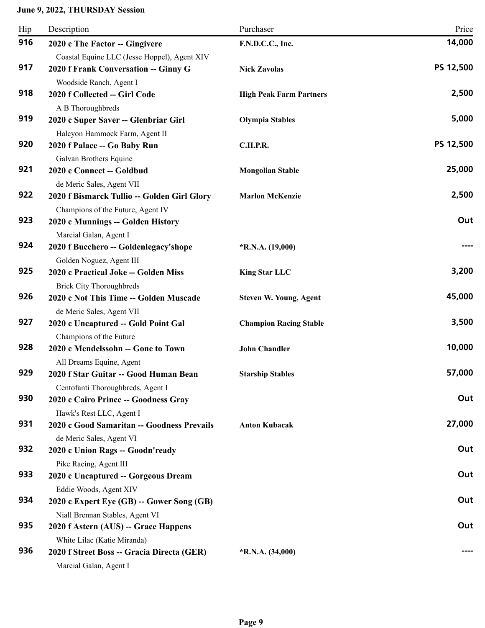| Hip | Description                                                                                                   | Purchaser                      | Price     |
|-----|---------------------------------------------------------------------------------------------------------------|--------------------------------|-----------|
| 916 | 2020 c The Factor -- Gingivere<br>Coastal Equine LLC (Jesse Hoppel), Agent XIV                                | F.N.D.C.C., Inc.               | 14,000    |
| 917 | 2020 f Frank Conversation -- Ginny G<br>Woodside Ranch, Agent I                                               | <b>Nick Zavolas</b>            | PS 12,500 |
| 918 | 2020 f Collected -- Girl Code                                                                                 | <b>High Peak Farm Partners</b> | 2,500     |
| 919 | A B Thoroughbreds<br>2020 c Super Saver -- Glenbriar Girl                                                     | <b>Olympia Stables</b>         | 5,000     |
| 920 | Halcyon Hammock Farm, Agent II<br>2020 f Palace -- Go Baby Run                                                | <b>C.H.P.R.</b>                | PS 12,500 |
| 921 | Galvan Brothers Equine<br>2020 c Connect -- Goldbud                                                           | <b>Mongolian Stable</b>        | 25,000    |
| 922 | de Meric Sales, Agent VII<br>2020 f Bismarck Tullio -- Golden Girl Glory<br>Champions of the Future, Agent IV | <b>Marlon McKenzie</b>         | 2,500     |
| 923 | 2020 c Munnings -- Golden History                                                                             |                                | Out       |
| 924 | Marcial Galan, Agent I<br>2020 f Bucchero -- Goldenlegacy'shope                                               | $*$ R.N.A. (19,000)            |           |
| 925 | Golden Noguez, Agent III<br>2020 c Practical Joke -- Golden Miss                                              | <b>King Star LLC</b>           | 3,200     |
| 926 | <b>Brick City Thoroughbreds</b><br>2020 c Not This Time -- Golden Muscade                                     | <b>Steven W. Young, Agent</b>  | 45,000    |
| 927 | de Meric Sales, Agent VII<br>2020 c Uncaptured -- Gold Point Gal                                              | <b>Champion Racing Stable</b>  | 3,500     |
| 928 | Champions of the Future<br>2020 c Mendelssohn -- Gone to Town                                                 | <b>John Chandler</b>           | 10,000    |
| 929 | All Dreams Equine, Agent<br>2020 f Star Guitar -- Good Human Bean                                             | <b>Starship Stables</b>        | 57,000    |
| 930 | Centofanti Thoroughbreds, Agent I<br>2020 c Cairo Prince -- Goodness Gray                                     |                                | Out       |
| 931 | Hawk's Rest LLC, Agent I<br>2020 c Good Samaritan -- Goodness Prevails                                        | <b>Anton Kubacak</b>           | 27,000    |
| 932 | de Meric Sales, Agent VI<br>2020 c Union Rags -- Goodn'ready                                                  |                                | Out       |
| 933 | Pike Racing, Agent III<br>2020 c Uncaptured -- Gorgeous Dream                                                 |                                | Out       |
| 934 | Eddie Woods, Agent XIV<br>2020 c Expert Eye (GB) -- Gower Song (GB)                                           |                                | Out       |
| 935 | Niall Brennan Stables, Agent VI<br>2020 f Astern (AUS) -- Grace Happens                                       |                                | Out       |
| 936 | White Lilac (Katie Miranda)<br>2020 f Street Boss -- Gracia Directa (GER)<br>Marcial Galan, Agent I           | $*R.N.A. (34,000)$             |           |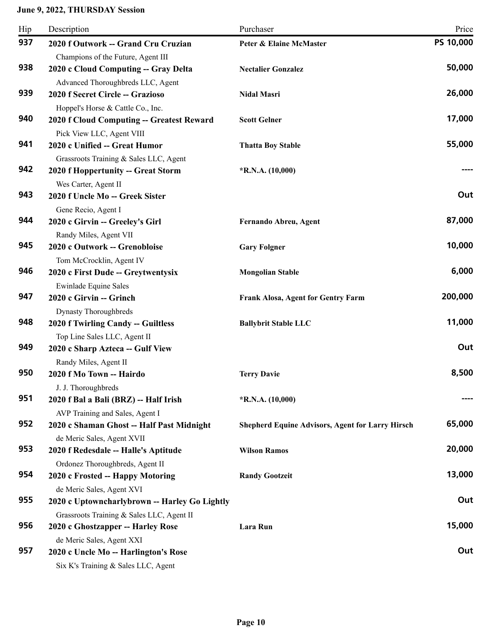| Hip | Description                                                                                              | Purchaser                                               | Price     |
|-----|----------------------------------------------------------------------------------------------------------|---------------------------------------------------------|-----------|
| 937 | 2020 f Outwork -- Grand Cru Cruzian                                                                      | <b>Peter &amp; Elaine McMaster</b>                      | PS 10,000 |
| 938 | Champions of the Future, Agent III<br>2020 c Cloud Computing -- Gray Delta                               | <b>Nectalier Gonzalez</b>                               | 50,000    |
| 939 | Advanced Thoroughbreds LLC, Agent<br>2020 f Secret Circle -- Grazioso                                    | <b>Nidal Masri</b>                                      | 26,000    |
| 940 | Hoppel's Horse & Cattle Co., Inc.<br>2020 f Cloud Computing -- Greatest Reward                           | <b>Scott Gelner</b>                                     | 17,000    |
| 941 | Pick View LLC, Agent VIII<br>2020 c Unified -- Great Humor                                               | <b>Thatta Boy Stable</b>                                | 55,000    |
| 942 | Grassroots Training & Sales LLC, Agent<br>2020 f Hoppertunity -- Great Storm<br>Wes Carter, Agent II     | $*R.N.A. (10,000)$                                      |           |
| 943 | 2020 f Uncle Mo -- Greek Sister<br>Gene Recio, Agent I                                                   |                                                         | Out       |
| 944 | 2020 c Girvin -- Greeley's Girl<br>Randy Miles, Agent VII                                                | Fernando Abreu, Agent                                   | 87,000    |
| 945 | 2020 c Outwork -- Grenobloise                                                                            | <b>Gary Folgner</b>                                     | 10,000    |
| 946 | Tom McCrocklin, Agent IV<br>2020 c First Dude -- Greytwentysix                                           | <b>Mongolian Stable</b>                                 | 6,000     |
| 947 | <b>Ewinlade Equine Sales</b><br>2020 c Girvin -- Grinch                                                  | Frank Alosa, Agent for Gentry Farm                      | 200,000   |
| 948 | <b>Dynasty Thoroughbreds</b><br>2020 f Twirling Candy -- Guiltless                                       | <b>Ballybrit Stable LLC</b>                             | 11,000    |
| 949 | Top Line Sales LLC, Agent II<br>2020 c Sharp Azteca -- Gulf View                                         |                                                         | Out       |
| 950 | Randy Miles, Agent II<br>2020 f Mo Town -- Hairdo                                                        | <b>Terry Davie</b>                                      | 8,500     |
| 951 | J. J. Thoroughbreds<br>2020 f Bal a Bali (BRZ) -- Half Irish                                             | $*R.N.A. (10,000)$                                      |           |
| 952 | AVP Training and Sales, Agent I<br>2020 c Shaman Ghost -- Half Past Midnight                             | <b>Shepherd Equine Advisors, Agent for Larry Hirsch</b> | 65,000    |
| 953 | de Meric Sales, Agent XVII<br>2020 f Redesdale -- Halle's Aptitude                                       | <b>Wilson Ramos</b>                                     | 20,000    |
| 954 | Ordonez Thoroughbreds, Agent II<br>2020 c Frosted -- Happy Motoring                                      | <b>Randy Gootzeit</b>                                   | 13,000    |
| 955 | de Meric Sales, Agent XVI<br>2020 c Uptowncharlybrown -- Harley Go Lightly                               |                                                         | Out       |
| 956 | Grassroots Training & Sales LLC, Agent II<br>2020 c Ghostzapper -- Harley Rose                           | Lara Run                                                | 15,000    |
| 957 | de Meric Sales, Agent XXI<br>2020 c Uncle Mo -- Harlington's Rose<br>Six K's Training & Sales LLC, Agent |                                                         | Out       |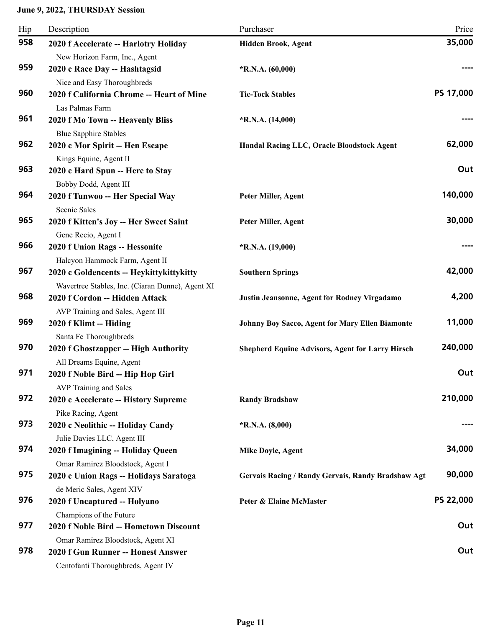| Hip | Description                                                                                                   | Purchaser                                               | Price            |
|-----|---------------------------------------------------------------------------------------------------------------|---------------------------------------------------------|------------------|
| 958 | 2020 f Accelerate -- Harlotry Holiday<br>New Horizon Farm, Inc., Agent                                        | Hidden Brook, Agent                                     | 35,000           |
| 959 | 2020 c Race Day -- Hashtagsid<br>Nice and Easy Thoroughbreds                                                  | $*R.N.A. (60,000)$                                      |                  |
| 960 | 2020 f California Chrome -- Heart of Mine                                                                     | <b>Tic-Tock Stables</b>                                 | PS 17,000        |
| 961 | Las Palmas Farm<br>2020 f Mo Town -- Heavenly Bliss                                                           | $*R.N.A. (14,000)$                                      |                  |
| 962 | <b>Blue Sapphire Stables</b><br>2020 c Mor Spirit -- Hen Escape                                               | Handal Racing LLC, Oracle Bloodstock Agent              | 62,000           |
| 963 | Kings Equine, Agent II<br>2020 c Hard Spun -- Here to Stay                                                    |                                                         | Out              |
| 964 | Bobby Dodd, Agent III<br>2020 f Tunwoo -- Her Special Way<br>Scenic Sales                                     | Peter Miller, Agent                                     | 140,000          |
| 965 | 2020 f Kitten's Joy -- Her Sweet Saint                                                                        | Peter Miller, Agent                                     | 30,000           |
| 966 | Gene Recio, Agent I<br>2020 f Union Rags -- Hessonite                                                         | $*R.N.A. (19,000)$                                      |                  |
| 967 | Halcyon Hammock Farm, Agent II<br>2020 c Goldencents -- Heykittykittykitty                                    | <b>Southern Springs</b>                                 | 42,000           |
| 968 | Wavertree Stables, Inc. (Ciaran Dunne), Agent XI<br>2020 f Cordon -- Hidden Attack                            | Justin Jeansonne, Agent for Rodney Virgadamo            | 4,200            |
| 969 | AVP Training and Sales, Agent III<br>2020 f Klimt -- Hiding                                                   | Johnny Boy Sacco, Agent for Mary Ellen Biamonte         | 11,000           |
| 970 | Santa Fe Thoroughbreds<br>2020 f Ghostzapper -- High Authority                                                | <b>Shepherd Equine Advisors, Agent for Larry Hirsch</b> | 240,000          |
| 971 | All Dreams Equine, Agent<br>2020 f Noble Bird -- Hip Hop Girl                                                 |                                                         | Out              |
| 972 | <b>AVP</b> Training and Sales<br>2020 c Accelerate -- History Supreme                                         | <b>Randy Bradshaw</b>                                   | 210,000          |
| 973 | Pike Racing, Agent<br>2020 c Neolithic -- Holiday Candy                                                       | $*R.N.A. (8,000)$                                       |                  |
| 974 | Julie Davies LLC, Agent III<br>2020 f Imagining -- Holiday Queen                                              | <b>Mike Doyle, Agent</b>                                | 34,000           |
| 975 | Omar Ramirez Bloodstock, Agent I<br>2020 c Union Rags -- Holidays Saratoga                                    | Gervais Racing / Randy Gervais, Randy Bradshaw Agt      | 90,000           |
| 976 | de Meric Sales, Agent XIV<br>2020 f Uncaptured -- Holyano                                                     | Peter & Elaine McMaster                                 | <b>PS 22,000</b> |
| 977 | Champions of the Future<br>2020 f Noble Bird -- Hometown Discount                                             |                                                         | Out              |
| 978 | Omar Ramirez Bloodstock, Agent XI<br>2020 f Gun Runner -- Honest Answer<br>Centofanti Thoroughbreds, Agent IV |                                                         | Out              |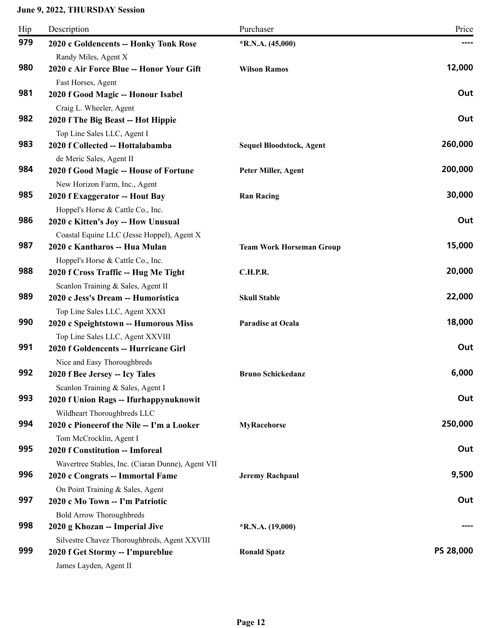| Hip | Description                                                                 | Purchaser                       | Price     |
|-----|-----------------------------------------------------------------------------|---------------------------------|-----------|
| 979 | 2020 c Goldencents -- Honky Tonk Rose                                       | $*R.N.A. (45,000)$              |           |
|     | Randy Miles, Agent X                                                        |                                 |           |
| 980 | 2020 c Air Force Blue -- Honor Your Gift                                    | <b>Wilson Ramos</b>             | 12,000    |
|     | Fast Horses, Agent                                                          |                                 |           |
| 981 | 2020 f Good Magic -- Honour Isabel                                          |                                 | Out       |
|     | Craig L. Wheeler, Agent                                                     |                                 |           |
| 982 | 2020 f The Big Beast -- Hot Hippie                                          |                                 | Out       |
|     | Top Line Sales LLC, Agent I                                                 |                                 |           |
| 983 | 2020 f Collected -- Hottalabamba                                            | <b>Sequel Bloodstock, Agent</b> | 260,000   |
|     | de Meric Sales, Agent II                                                    |                                 |           |
| 984 | 2020 f Good Magic -- House of Fortune                                       | Peter Miller, Agent             | 200,000   |
| 985 | New Horizon Farm, Inc., Agent                                               |                                 | 30,000    |
|     | 2020 f Exaggerator -- Hout Bay                                              | <b>Ran Racing</b>               |           |
| 986 | Hoppel's Horse & Cattle Co., Inc.                                           |                                 | Out       |
|     | 2020 c Kitten's Joy -- How Unusual                                          |                                 |           |
| 987 | Coastal Equine LLC (Jesse Hoppel), Agent X<br>2020 c Kantharos -- Hua Mulan | <b>Team Work Horseman Group</b> | 15,000    |
|     | Hoppel's Horse & Cattle Co., Inc.                                           |                                 |           |
| 988 | 2020 f Cross Traffic -- Hug Me Tight                                        | <b>C.H.P.R.</b>                 | 20,000    |
|     | Scanlon Training & Sales, Agent II                                          |                                 |           |
| 989 | 2020 c Jess's Dream -- Humoristica                                          | <b>Skull Stable</b>             | 22,000    |
|     | Top Line Sales LLC, Agent XXXI                                              |                                 |           |
| 990 | 2020 c Speightstown -- Humorous Miss                                        | Paradise at Ocala               | 18,000    |
|     | Top Line Sales LLC, Agent XXVIII                                            |                                 |           |
| 991 | 2020 f Goldencents -- Hurricane Girl                                        |                                 | Out       |
|     | Nice and Easy Thoroughbreds                                                 |                                 |           |
| 992 | 2020 f Bee Jersey -- Icy Tales                                              | <b>Bruno Schickedanz</b>        | 6,000     |
|     | Scanlon Training & Sales, Agent I                                           |                                 |           |
| 993 | 2020 f Union Rags -- Ifurhappynuknowit                                      |                                 | Out       |
|     | Wildheart Thoroughbreds LLC                                                 |                                 |           |
| 994 | 2020 c Pioneerof the Nile -- I'm a Looker                                   | <b>MyRacehorse</b>              | 250,000   |
|     | Tom McCrocklin, Agent I                                                     |                                 |           |
| 995 | 2020 f Constitution -- Imforeal                                             |                                 | Out       |
|     | Wavertree Stables, Inc. (Ciaran Dunne), Agent VII                           |                                 |           |
| 996 | 2020 c Congrats -- Immortal Fame                                            | <b>Jeremy Rachpaul</b>          | 9,500     |
|     | On Point Training & Sales, Agent                                            |                                 |           |
| 997 | 2020 c Mo Town -- I'm Patriotic                                             |                                 | Out       |
|     | <b>Bold Arrow Thoroughbreds</b>                                             |                                 |           |
| 998 | 2020 g Khozan -- Imperial Jive                                              | $*$ R.N.A. (19,000)             |           |
| 999 | Silvestre Chavez Thoroughbreds, Agent XXVIII                                |                                 | PS 28,000 |
|     | 2020 f Get Stormy -- I'mpureblue                                            | <b>Ronald Spatz</b>             |           |
|     | James Layden, Agent II                                                      |                                 |           |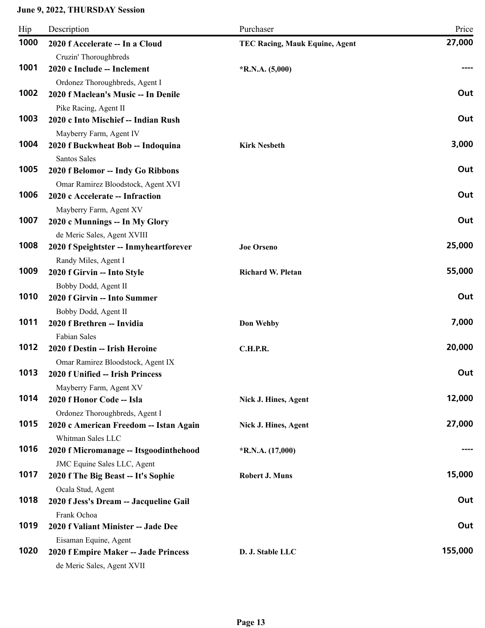| 1000<br>2020 f Accelerate -- In a Cloud<br><b>TEC Racing, Mauk Equine, Agent</b><br>Cruzin' Thoroughbreds<br>1001<br>2020 c Include -- Inclement<br>$*R.N.A. (5,000)$<br>Ordonez Thoroughbreds, Agent I<br>1002<br>2020 f Maclean's Music -- In Denile<br>Pike Racing, Agent II<br>1003<br>2020 c Into Mischief -- Indian Rush<br>Mayberry Farm, Agent IV<br>1004<br>2020 f Buckwheat Bob -- Indoquina<br><b>Kirk Nesbeth</b><br>Santos Sales<br>1005<br>2020 f Belomor -- Indy Go Ribbons<br>Omar Ramirez Bloodstock, Agent XVI<br>1006<br>2020 c Accelerate -- Infraction<br>Mayberry Farm, Agent XV<br>1007<br>2020 c Munnings -- In My Glory<br>de Meric Sales, Agent XVIII<br>1008<br>25,000<br>2020 f Speightster -- Inmyheartforever<br><b>Joe Orseno</b><br>Randy Miles, Agent I | Hip<br>Description | Purchaser | Price   |
|------------------------------------------------------------------------------------------------------------------------------------------------------------------------------------------------------------------------------------------------------------------------------------------------------------------------------------------------------------------------------------------------------------------------------------------------------------------------------------------------------------------------------------------------------------------------------------------------------------------------------------------------------------------------------------------------------------------------------------------------------------------------------------------|--------------------|-----------|---------|
|                                                                                                                                                                                                                                                                                                                                                                                                                                                                                                                                                                                                                                                                                                                                                                                          |                    |           | 27,000  |
|                                                                                                                                                                                                                                                                                                                                                                                                                                                                                                                                                                                                                                                                                                                                                                                          |                    |           |         |
|                                                                                                                                                                                                                                                                                                                                                                                                                                                                                                                                                                                                                                                                                                                                                                                          |                    |           | ----    |
|                                                                                                                                                                                                                                                                                                                                                                                                                                                                                                                                                                                                                                                                                                                                                                                          |                    |           |         |
|                                                                                                                                                                                                                                                                                                                                                                                                                                                                                                                                                                                                                                                                                                                                                                                          |                    |           | Out     |
|                                                                                                                                                                                                                                                                                                                                                                                                                                                                                                                                                                                                                                                                                                                                                                                          |                    |           |         |
|                                                                                                                                                                                                                                                                                                                                                                                                                                                                                                                                                                                                                                                                                                                                                                                          |                    |           | Out     |
|                                                                                                                                                                                                                                                                                                                                                                                                                                                                                                                                                                                                                                                                                                                                                                                          |                    |           |         |
|                                                                                                                                                                                                                                                                                                                                                                                                                                                                                                                                                                                                                                                                                                                                                                                          |                    |           | 3,000   |
|                                                                                                                                                                                                                                                                                                                                                                                                                                                                                                                                                                                                                                                                                                                                                                                          |                    |           |         |
|                                                                                                                                                                                                                                                                                                                                                                                                                                                                                                                                                                                                                                                                                                                                                                                          |                    |           | Out     |
|                                                                                                                                                                                                                                                                                                                                                                                                                                                                                                                                                                                                                                                                                                                                                                                          |                    |           |         |
|                                                                                                                                                                                                                                                                                                                                                                                                                                                                                                                                                                                                                                                                                                                                                                                          |                    |           | Out     |
|                                                                                                                                                                                                                                                                                                                                                                                                                                                                                                                                                                                                                                                                                                                                                                                          |                    |           |         |
|                                                                                                                                                                                                                                                                                                                                                                                                                                                                                                                                                                                                                                                                                                                                                                                          |                    |           | Out     |
|                                                                                                                                                                                                                                                                                                                                                                                                                                                                                                                                                                                                                                                                                                                                                                                          |                    |           |         |
|                                                                                                                                                                                                                                                                                                                                                                                                                                                                                                                                                                                                                                                                                                                                                                                          |                    |           |         |
|                                                                                                                                                                                                                                                                                                                                                                                                                                                                                                                                                                                                                                                                                                                                                                                          |                    |           |         |
| 1009<br>2020 f Girvin -- Into Style<br><b>Richard W. Pletan</b>                                                                                                                                                                                                                                                                                                                                                                                                                                                                                                                                                                                                                                                                                                                          |                    |           | 55,000  |
| Bobby Dodd, Agent II                                                                                                                                                                                                                                                                                                                                                                                                                                                                                                                                                                                                                                                                                                                                                                     |                    |           |         |
| 1010<br>2020 f Girvin -- Into Summer                                                                                                                                                                                                                                                                                                                                                                                                                                                                                                                                                                                                                                                                                                                                                     |                    |           | Out     |
| Bobby Dodd, Agent II                                                                                                                                                                                                                                                                                                                                                                                                                                                                                                                                                                                                                                                                                                                                                                     |                    |           |         |
| 1011<br>2020 f Brethren -- Invidia<br>Don Wehby                                                                                                                                                                                                                                                                                                                                                                                                                                                                                                                                                                                                                                                                                                                                          |                    |           | 7,000   |
| <b>Fabian Sales</b>                                                                                                                                                                                                                                                                                                                                                                                                                                                                                                                                                                                                                                                                                                                                                                      |                    |           |         |
| 1012<br>2020 f Destin -- Irish Heroine<br>C.H.P.R.                                                                                                                                                                                                                                                                                                                                                                                                                                                                                                                                                                                                                                                                                                                                       |                    |           | 20,000  |
| Omar Ramirez Bloodstock, Agent IX                                                                                                                                                                                                                                                                                                                                                                                                                                                                                                                                                                                                                                                                                                                                                        |                    |           |         |
| 1013<br>2020 f Unified -- Irish Princess                                                                                                                                                                                                                                                                                                                                                                                                                                                                                                                                                                                                                                                                                                                                                 |                    |           | Out     |
| Mayberry Farm, Agent XV<br>1014                                                                                                                                                                                                                                                                                                                                                                                                                                                                                                                                                                                                                                                                                                                                                          |                    |           | 12,000  |
| 2020 f Honor Code -- Isla<br>Nick J. Hines, Agent                                                                                                                                                                                                                                                                                                                                                                                                                                                                                                                                                                                                                                                                                                                                        |                    |           |         |
| Ordonez Thoroughbreds, Agent I<br>1015                                                                                                                                                                                                                                                                                                                                                                                                                                                                                                                                                                                                                                                                                                                                                   |                    |           | 27,000  |
| 2020 c American Freedom -- Istan Again<br>Nick J. Hines, Agent                                                                                                                                                                                                                                                                                                                                                                                                                                                                                                                                                                                                                                                                                                                           |                    |           |         |
| Whitman Sales LLC<br>1016                                                                                                                                                                                                                                                                                                                                                                                                                                                                                                                                                                                                                                                                                                                                                                |                    |           |         |
| 2020 f Micromanage -- Itsgoodinthehood<br>$*R.N.A. (17,000)$                                                                                                                                                                                                                                                                                                                                                                                                                                                                                                                                                                                                                                                                                                                             |                    |           |         |
| JMC Equine Sales LLC, Agent<br>1017<br><b>Robert J. Muns</b>                                                                                                                                                                                                                                                                                                                                                                                                                                                                                                                                                                                                                                                                                                                             |                    |           | 15,000  |
| 2020 f The Big Beast -- It's Sophie                                                                                                                                                                                                                                                                                                                                                                                                                                                                                                                                                                                                                                                                                                                                                      |                    |           |         |
| Ocala Stud, Agent<br>1018                                                                                                                                                                                                                                                                                                                                                                                                                                                                                                                                                                                                                                                                                                                                                                |                    |           | Out     |
| 2020 f Jess's Dream -- Jacqueline Gail                                                                                                                                                                                                                                                                                                                                                                                                                                                                                                                                                                                                                                                                                                                                                   |                    |           |         |
| Frank Ochoa<br>1019<br>2020 f Valiant Minister -- Jade Dee                                                                                                                                                                                                                                                                                                                                                                                                                                                                                                                                                                                                                                                                                                                               |                    |           | Out     |
|                                                                                                                                                                                                                                                                                                                                                                                                                                                                                                                                                                                                                                                                                                                                                                                          |                    |           |         |
| Eisaman Equine, Agent<br>1020<br>2020 f Empire Maker -- Jade Princess<br>D. J. Stable LLC                                                                                                                                                                                                                                                                                                                                                                                                                                                                                                                                                                                                                                                                                                |                    |           | 155,000 |
| de Meric Sales, Agent XVII                                                                                                                                                                                                                                                                                                                                                                                                                                                                                                                                                                                                                                                                                                                                                               |                    |           |         |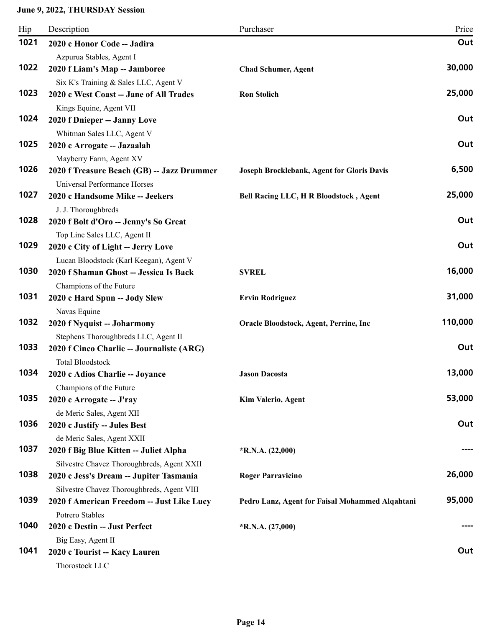| Hip  | Description                                                                       | Purchaser                                       | Price   |
|------|-----------------------------------------------------------------------------------|-------------------------------------------------|---------|
| 1021 | 2020 c Honor Code -- Jadira                                                       |                                                 | Out     |
|      | Azpurua Stables, Agent I                                                          |                                                 |         |
| 1022 | 2020 f Liam's Map -- Jamboree                                                     | <b>Chad Schumer, Agent</b>                      | 30,000  |
|      | Six K's Training & Sales LLC, Agent V                                             |                                                 |         |
| 1023 | 2020 c West Coast -- Jane of All Trades                                           | <b>Ron Stolich</b>                              | 25,000  |
|      | Kings Equine, Agent VII                                                           |                                                 |         |
| 1024 | 2020 f Dnieper -- Janny Love                                                      |                                                 | Out     |
|      | Whitman Sales LLC, Agent V                                                        |                                                 |         |
| 1025 | 2020 c Arrogate -- Jazaalah                                                       |                                                 | Out     |
|      | Mayberry Farm, Agent XV                                                           |                                                 |         |
| 1026 | 2020 f Treasure Beach (GB) -- Jazz Drummer                                        | Joseph Brocklebank, Agent for Gloris Davis      | 6,500   |
|      | <b>Universal Performance Horses</b>                                               |                                                 | 25,000  |
| 1027 | 2020 c Handsome Mike -- Jeekers                                                   | <b>Bell Racing LLC, H R Bloodstock, Agent</b>   |         |
| 1028 | J. J. Thoroughbreds                                                               |                                                 | Out     |
|      | 2020 f Bolt d'Oro -- Jenny's So Great                                             |                                                 |         |
| 1029 | Top Line Sales LLC, Agent II                                                      |                                                 | Out     |
|      | 2020 c City of Light -- Jerry Love                                                |                                                 |         |
| 1030 | Lucan Bloodstock (Karl Keegan), Agent V<br>2020 f Shaman Ghost -- Jessica Is Back |                                                 | 16,000  |
|      |                                                                                   | <b>SVREL</b>                                    |         |
| 1031 | Champions of the Future<br>2020 c Hard Spun -- Jody Slew                          | <b>Ervin Rodriguez</b>                          | 31,000  |
|      | Navas Equine                                                                      |                                                 |         |
| 1032 | 2020 f Nyquist -- Joharmony                                                       | Oracle Bloodstock, Agent, Perrine, Inc          | 110,000 |
|      | Stephens Thoroughbreds LLC, Agent II                                              |                                                 |         |
| 1033 | 2020 f Cinco Charlie -- Journaliste (ARG)                                         |                                                 | Out     |
|      | <b>Total Bloodstock</b>                                                           |                                                 |         |
| 1034 | 2020 c Adios Charlie -- Joyance                                                   | <b>Jason Dacosta</b>                            | 13,000  |
|      | Champions of the Future                                                           |                                                 |         |
| 1035 | 2020 c Arrogate -- J'ray                                                          | Kim Valerio, Agent                              | 53,000  |
|      | de Meric Sales, Agent XII                                                         |                                                 |         |
| 1036 | 2020 c Justify -- Jules Best                                                      |                                                 | Out     |
|      | de Meric Sales, Agent XXII                                                        |                                                 |         |
| 1037 | 2020 f Big Blue Kitten -- Juliet Alpha                                            | *R.N.A. (22,000)                                |         |
|      | Silvestre Chavez Thoroughbreds, Agent XXII                                        |                                                 |         |
| 1038 | 2020 c Jess's Dream -- Jupiter Tasmania                                           | <b>Roger Parravicino</b>                        | 26,000  |
|      | Silvestre Chavez Thoroughbreds, Agent VIII                                        |                                                 |         |
| 1039 | 2020 f American Freedom -- Just Like Lucy                                         | Pedro Lanz, Agent for Faisal Mohammed Alqahtani | 95,000  |
|      | Potrero Stables                                                                   |                                                 |         |
| 1040 | 2020 c Destin -- Just Perfect                                                     | $*R.N.A. (27,000)$                              | ----    |
|      | Big Easy, Agent II                                                                |                                                 |         |
| 1041 | 2020 c Tourist -- Kacy Lauren                                                     |                                                 | Out     |
|      | Thorostock LLC                                                                    |                                                 |         |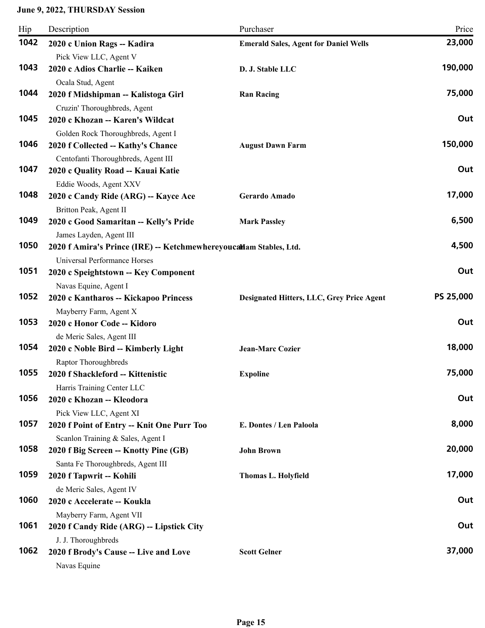| Hip  | Description                                                              | Purchaser                                    | Price     |
|------|--------------------------------------------------------------------------|----------------------------------------------|-----------|
| 1042 | 2020 c Union Rags -- Kadira                                              | <b>Emerald Sales, Agent for Daniel Wells</b> | 23,000    |
|      | Pick View LLC, Agent V                                                   |                                              |           |
| 1043 | 2020 c Adios Charlie -- Kaiken                                           | D. J. Stable LLC                             | 190,000   |
|      | Ocala Stud, Agent                                                        |                                              |           |
| 1044 | 2020 f Midshipman -- Kalistoga Girl                                      | <b>Ran Racing</b>                            | 75,000    |
| 1045 | Cruzin' Thoroughbreds, Agent<br>2020 c Khozan -- Karen's Wildcat         |                                              | Out       |
|      |                                                                          |                                              |           |
| 1046 | Golden Rock Thoroughbreds, Agent I<br>2020 f Collected -- Kathy's Chance | <b>August Dawn Farm</b>                      | 150,000   |
|      | Centofanti Thoroughbreds, Agent III                                      |                                              |           |
| 1047 | 2020 c Quality Road -- Kauai Katie                                       |                                              | Out       |
|      | Eddie Woods, Agent XXV                                                   |                                              |           |
| 1048 | 2020 c Candy Ride (ARG) -- Kayce Ace                                     | Gerardo Amado                                | 17,000    |
|      | Britton Peak, Agent II                                                   |                                              |           |
| 1049 | 2020 c Good Samaritan -- Kelly's Pride                                   | <b>Mark Passley</b>                          | 6,500     |
|      | James Layden, Agent III                                                  |                                              |           |
| 1050 | 2020 f Amira's Prince (IRE) -- Ketchmewhereyoucallam Stables, Ltd.       |                                              | 4,500     |
|      | Universal Performance Horses                                             |                                              |           |
| 1051 | 2020 c Speightstown -- Key Component                                     |                                              | Out       |
|      | Navas Equine, Agent I                                                    |                                              |           |
| 1052 | 2020 c Kantharos -- Kickapoo Princess                                    | Designated Hitters, LLC, Grey Price Agent    | PS 25,000 |
| 1053 | Mayberry Farm, Agent X                                                   |                                              | Out       |
|      | 2020 c Honor Code -- Kidoro                                              |                                              |           |
| 1054 | de Meric Sales, Agent III<br>2020 c Noble Bird -- Kimberly Light         | <b>Jean-Marc Cozier</b>                      | 18,000    |
|      | Raptor Thoroughbreds                                                     |                                              |           |
| 1055 | 2020 f Shackleford -- Kittenistic                                        | <b>Expoline</b>                              | 75,000    |
|      | Harris Training Center LLC                                               |                                              |           |
| 1056 | 2020 c Khozan -- Kleodora                                                |                                              | Out       |
|      | Pick View LLC, Agent XI                                                  |                                              |           |
| 1057 | 2020 f Point of Entry -- Knit One Purr Too                               | E. Dontes / Len Paloola                      | 8,000     |
|      | Scanlon Training & Sales, Agent I                                        |                                              |           |
| 1058 | 2020 f Big Screen -- Knotty Pine (GB)                                    | <b>John Brown</b>                            | 20,000    |
|      | Santa Fe Thoroughbreds, Agent III                                        |                                              |           |
| 1059 | 2020 f Tapwrit -- Kohili                                                 | Thomas L. Holyfield                          | 17,000    |
|      | de Meric Sales, Agent IV                                                 |                                              |           |
| 1060 | 2020 c Accelerate -- Koukla                                              |                                              | Out       |
| 1061 | Mayberry Farm, Agent VII                                                 |                                              | Out       |
|      | 2020 f Candy Ride (ARG) -- Lipstick City                                 |                                              |           |
| 1062 | J. J. Thoroughbreds                                                      | <b>Scott Gelner</b>                          | 37,000    |
|      | 2020 f Brody's Cause -- Live and Love<br>Navas Equine                    |                                              |           |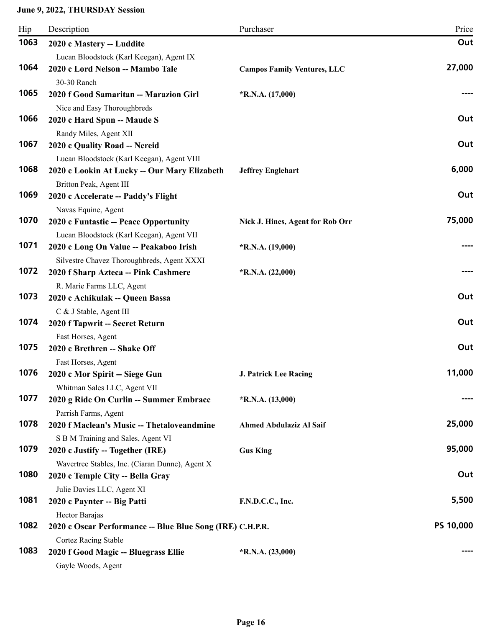| Hip  | Description                                                                               | Purchaser                          | Price     |
|------|-------------------------------------------------------------------------------------------|------------------------------------|-----------|
| 1063 | 2020 c Mastery -- Luddite                                                                 |                                    | Out       |
| 1064 | Lucan Bloodstock (Karl Keegan), Agent IX<br>2020 c Lord Nelson -- Mambo Tale              | <b>Campos Family Ventures, LLC</b> | 27,000    |
| 1065 | 30-30 Ranch<br>2020 f Good Samaritan -- Marazion Girl<br>Nice and Easy Thoroughbreds      | $*R.N.A. (17,000)$                 |           |
| 1066 | 2020 c Hard Spun -- Maude S<br>Randy Miles, Agent XII                                     |                                    | Out       |
| 1067 | 2020 c Quality Road -- Nereid<br>Lucan Bloodstock (Karl Keegan), Agent VIII               |                                    | Out       |
| 1068 | 2020 c Lookin At Lucky -- Our Mary Elizabeth<br>Britton Peak, Agent III                   | <b>Jeffrey Englehart</b>           | 6,000     |
| 1069 | 2020 c Accelerate -- Paddy's Flight<br>Navas Equine, Agent                                |                                    | Out       |
| 1070 | 2020 c Funtastic -- Peace Opportunity<br>Lucan Bloodstock (Karl Keegan), Agent VII        | Nick J. Hines, Agent for Rob Orr   | 75,000    |
| 1071 | 2020 c Long On Value -- Peakaboo Irish<br>Silvestre Chavez Thoroughbreds, Agent XXXI      | $*R.N.A. (19,000)$                 |           |
| 1072 | 2020 f Sharp Azteca -- Pink Cashmere                                                      | $*R.N.A. (22,000)$                 |           |
| 1073 | R. Marie Farms LLC, Agent<br>2020 c Achikulak -- Queen Bassa                              |                                    | Out       |
|      | C & J Stable, Agent III                                                                   |                                    |           |
| 1074 | 2020 f Tapwrit -- Secret Return                                                           |                                    | Out       |
| 1075 | Fast Horses, Agent<br>2020 c Brethren -- Shake Off<br>Fast Horses, Agent                  |                                    | Out       |
| 1076 | 2020 c Mor Spirit -- Siege Gun<br>Whitman Sales LLC, Agent VII                            | <b>J. Patrick Lee Racing</b>       | 11,000    |
| 1077 | 2020 g Ride On Curlin -- Summer Embrace<br>Parrish Farms, Agent                           | $*R.N.A. (13,000)$                 |           |
| 1078 | 2020 f Maclean's Music -- Thetaloveandmine                                                | <b>Ahmed Abdulaziz Al Saif</b>     | 25,000    |
| 1079 | S B M Training and Sales, Agent VI<br>2020 c Justify -- Together (IRE)                    | <b>Gus King</b>                    | 95,000    |
| 1080 | Wavertree Stables, Inc. (Ciaran Dunne), Agent X<br>2020 c Temple City -- Bella Gray       |                                    | Out       |
| 1081 | Julie Davies LLC, Agent XI<br>2020 c Paynter -- Big Patti                                 | F.N.D.C.C., Inc.                   | 5,500     |
| 1082 | Hector Barajas<br>2020 c Oscar Performance -- Blue Blue Song (IRE) C.H.P.R.               |                                    | PS 10,000 |
| 1083 | <b>Cortez Racing Stable</b><br>2020 f Good Magic -- Bluegrass Ellie<br>Gayle Woods, Agent | $*R.N.A. (23,000)$                 |           |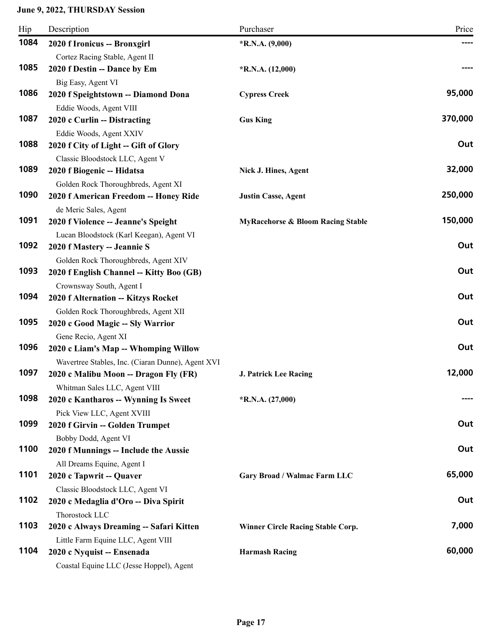| Hip  | Description                                                                                | Purchaser                                    | Price   |
|------|--------------------------------------------------------------------------------------------|----------------------------------------------|---------|
| 1084 | 2020 f Ironicus -- Bronxgirl                                                               | $*R.N.A. (9,000)$                            |         |
|      | Cortez Racing Stable, Agent II                                                             |                                              |         |
| 1085 | 2020 f Destin -- Dance by Em                                                               | $*R.N.A. (12,000)$                           |         |
|      | Big Easy, Agent VI                                                                         |                                              |         |
| 1086 | 2020 f Speightstown -- Diamond Dona                                                        | <b>Cypress Creek</b>                         | 95,000  |
|      | Eddie Woods, Agent VIII                                                                    |                                              |         |
| 1087 | 2020 c Curlin -- Distracting                                                               | <b>Gus King</b>                              | 370,000 |
|      | Eddie Woods, Agent XXIV                                                                    |                                              |         |
| 1088 | 2020 f City of Light -- Gift of Glory                                                      |                                              | Out     |
|      | Classic Bloodstock LLC, Agent V                                                            |                                              |         |
| 1089 | 2020 f Biogenic -- Hidatsa                                                                 | Nick J. Hines, Agent                         | 32,000  |
|      | Golden Rock Thoroughbreds, Agent XI                                                        |                                              |         |
| 1090 | 2020 f American Freedom -- Honey Ride                                                      | <b>Justin Casse, Agent</b>                   | 250,000 |
|      | de Meric Sales, Agent                                                                      |                                              |         |
| 1091 | 2020 f Violence -- Jeanne's Speight                                                        | <b>MyRacehorse &amp; Bloom Racing Stable</b> | 150,000 |
|      | Lucan Bloodstock (Karl Keegan), Agent VI                                                   |                                              |         |
| 1092 | 2020 f Mastery -- Jeannie S                                                                |                                              | Out     |
| 1093 | Golden Rock Thoroughbreds, Agent XIV                                                       |                                              | Out     |
|      | 2020 f English Channel -- Kitty Boo (GB)                                                   |                                              |         |
| 1094 | Crownsway South, Agent I                                                                   |                                              | Out     |
|      | 2020 f Alternation -- Kitzys Rocket                                                        |                                              |         |
| 1095 | Golden Rock Thoroughbreds, Agent XII                                                       |                                              | Out     |
|      | 2020 c Good Magic -- Sly Warrior                                                           |                                              |         |
| 1096 | Gene Recio, Agent XI                                                                       |                                              | Out     |
|      | 2020 c Liam's Map -- Whomping Willow                                                       |                                              |         |
| 1097 | Wavertree Stables, Inc. (Ciaran Dunne), Agent XVI<br>2020 c Malibu Moon -- Dragon Fly (FR) | <b>J. Patrick Lee Racing</b>                 | 12,000  |
|      | Whitman Sales LLC, Agent VIII                                                              |                                              |         |
| 1098 | 2020 c Kantharos -- Wynning Is Sweet                                                       | $*R.N.A. (27,000)$                           |         |
|      | Pick View LLC, Agent XVIII                                                                 |                                              |         |
| 1099 | 2020 f Girvin -- Golden Trumpet                                                            |                                              | Out     |
|      | Bobby Dodd, Agent VI                                                                       |                                              |         |
| 1100 | 2020 f Munnings -- Include the Aussie                                                      |                                              | Out     |
|      | All Dreams Equine, Agent I                                                                 |                                              |         |
| 1101 | 2020 c Tapwrit -- Quaver                                                                   | Gary Broad / Walmac Farm LLC                 | 65,000  |
|      | Classic Bloodstock LLC, Agent VI                                                           |                                              |         |
| 1102 | 2020 c Medaglia d'Oro -- Diva Spirit                                                       |                                              | Out     |
|      | Thorostock LLC                                                                             |                                              |         |
| 1103 | 2020 c Always Dreaming -- Safari Kitten                                                    | <b>Winner Circle Racing Stable Corp.</b>     | 7,000   |
|      | Little Farm Equine LLC, Agent VIII                                                         |                                              |         |
| 1104 | 2020 c Nyquist -- Ensenada                                                                 | <b>Harmash Racing</b>                        | 60,000  |
|      | Coastal Equine LLC (Jesse Hoppel), Agent                                                   |                                              |         |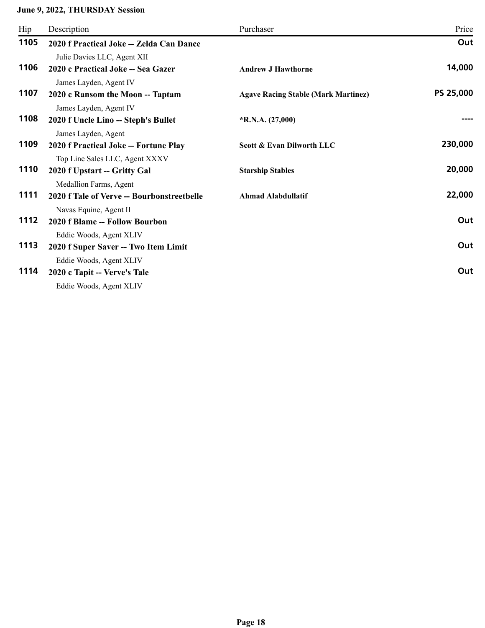| Hip  | Description                                | Purchaser                                  | Price     |
|------|--------------------------------------------|--------------------------------------------|-----------|
| 1105 | 2020 f Practical Joke -- Zelda Can Dance   |                                            | Out       |
|      | Julie Davies LLC, Agent XII                |                                            |           |
| 1106 | 2020 c Practical Joke -- Sea Gazer         | <b>Andrew J Hawthorne</b>                  | 14,000    |
|      | James Layden, Agent IV                     |                                            |           |
| 1107 | 2020 c Ransom the Moon -- Taptam           | <b>Agave Racing Stable (Mark Martinez)</b> | PS 25,000 |
|      | James Layden, Agent IV                     |                                            |           |
| 1108 | 2020 f Uncle Lino -- Steph's Bullet        | $*R.N.A. (27,000)$                         |           |
|      | James Layden, Agent                        |                                            |           |
| 1109 | 2020 f Practical Joke -- Fortune Play      | Scott & Evan Dilworth LLC                  | 230,000   |
|      | Top Line Sales LLC, Agent XXXV             |                                            |           |
| 1110 | 2020 f Upstart -- Gritty Gal               | <b>Starship Stables</b>                    | 20,000    |
|      | Medallion Farms, Agent                     |                                            |           |
| 1111 | 2020 f Tale of Verve -- Bourbonstreetbelle | <b>Ahmad Alabdullatif</b>                  | 22,000    |
|      | Navas Equine, Agent II                     |                                            |           |
| 1112 | 2020 f Blame -- Follow Bourbon             |                                            | Out       |
|      | Eddie Woods, Agent XLIV                    |                                            |           |
| 1113 | 2020 f Super Saver -- Two Item Limit       |                                            | Out       |
|      | Eddie Woods, Agent XLIV                    |                                            |           |
| 1114 | 2020 c Tapit -- Verve's Tale               |                                            | Out       |
|      | Eddie Woods, Agent XLIV                    |                                            |           |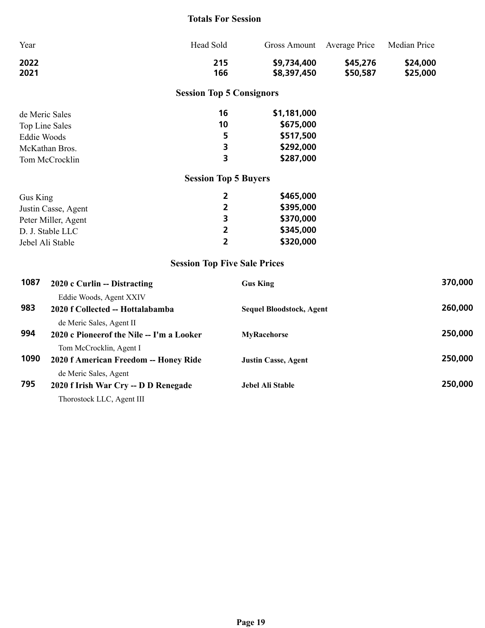### **Totals For Session**

| Year                                |                                                                       | Head Sold               | <b>Gross Amount</b>             | Average Price        | Median Price         |         |  |
|-------------------------------------|-----------------------------------------------------------------------|-------------------------|---------------------------------|----------------------|----------------------|---------|--|
| 2022<br>2021                        |                                                                       | 215<br>166              | \$9,734,400<br>\$8,397,450      | \$45,276<br>\$50,587 | \$24,000<br>\$25,000 |         |  |
|                                     |                                                                       |                         | <b>Session Top 5 Consignors</b> |                      |                      |         |  |
| de Meric Sales<br>Top Line Sales    |                                                                       | 16<br>10                | \$1,181,000<br>\$675,000        |                      |                      |         |  |
| <b>Eddie Woods</b>                  |                                                                       | 5                       | \$517,500                       |                      |                      |         |  |
|                                     | McKathan Bros.                                                        | 3                       | \$292,000                       |                      |                      |         |  |
|                                     | Tom McCrocklin                                                        | 3                       | \$287,000                       |                      |                      |         |  |
| <b>Session Top 5 Buyers</b>         |                                                                       |                         |                                 |                      |                      |         |  |
| Gus King                            |                                                                       | $\overline{\mathbf{2}}$ | \$465,000                       |                      |                      |         |  |
|                                     | Justin Casse, Agent                                                   | $\overline{2}$          | \$395,000                       |                      |                      |         |  |
|                                     | Peter Miller, Agent                                                   | 3                       | \$370,000                       |                      |                      |         |  |
|                                     | D. J. Stable LLC                                                      | $\overline{\mathbf{2}}$ | \$345,000                       |                      |                      |         |  |
| Jebel Ali Stable                    |                                                                       | $\overline{2}$          | \$320,000                       |                      |                      |         |  |
| <b>Session Top Five Sale Prices</b> |                                                                       |                         |                                 |                      |                      |         |  |
| 1087                                | 2020 c Curlin -- Distracting                                          |                         | <b>Gus King</b>                 |                      |                      | 370,000 |  |
|                                     | Eddie Woods, Agent XXIV                                               |                         |                                 |                      |                      |         |  |
| 983                                 | 2020 f Collected -- Hottalabamba                                      |                         | <b>Sequel Bloodstock, Agent</b> |                      |                      | 260,000 |  |
| 994                                 | de Meric Sales, Agent II<br>2020 c Pioneerof the Nile -- I'm a Looker |                         | <b>MyRacehorse</b>              |                      |                      | 250,000 |  |
| 1090                                | Tom McCrocklin, Agent I<br>2020 f American Freedom -- Honey Ride      |                         | <b>Justin Casse, Agent</b>      |                      |                      | 250,000 |  |
| 795                                 | de Meric Sales, Agent<br>2020 f Irish War Cry -- D D Renegade         |                         | Jebel Ali Stable                |                      |                      | 250,000 |  |

Thorostock LLC, Agent III